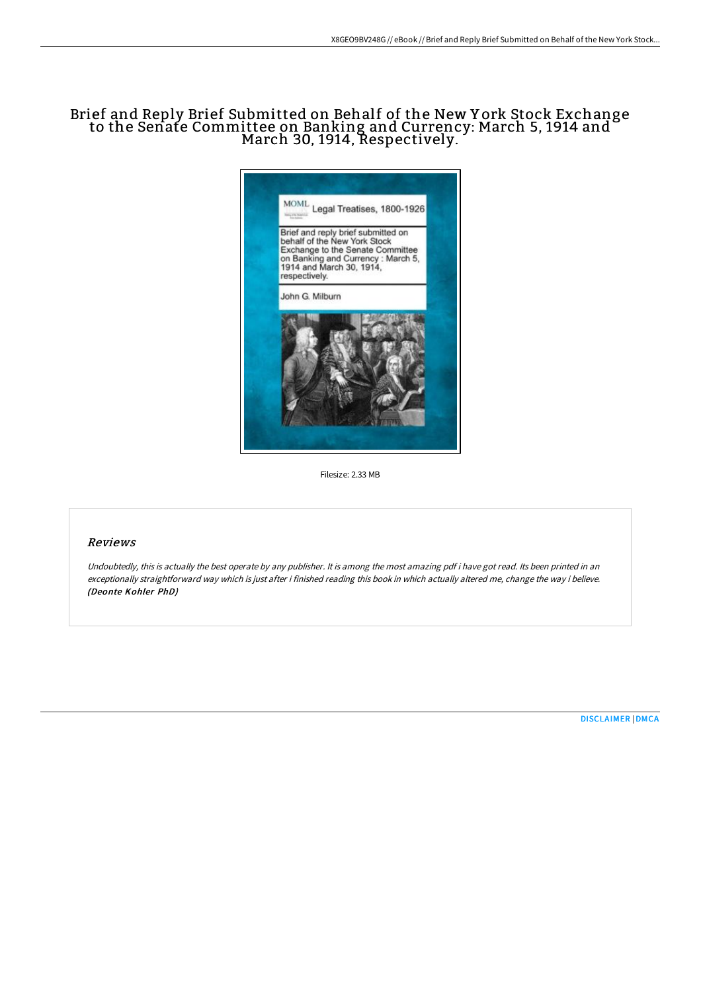# Brief and Reply Brief Submitted on Behalf of the New Y ork Stock Exchange to the Senate Committee on Banking and Currency: March 5, 1914 and March 30, 1914, Respectively.



Filesize: 2.33 MB

## Reviews

Undoubtedly, this is actually the best operate by any publisher. It is among the most amazing pdf i have got read. Its been printed in an exceptionally straightforward way which is just after i finished reading this book in which actually altered me, change the way i believe. (Deonte Kohler PhD)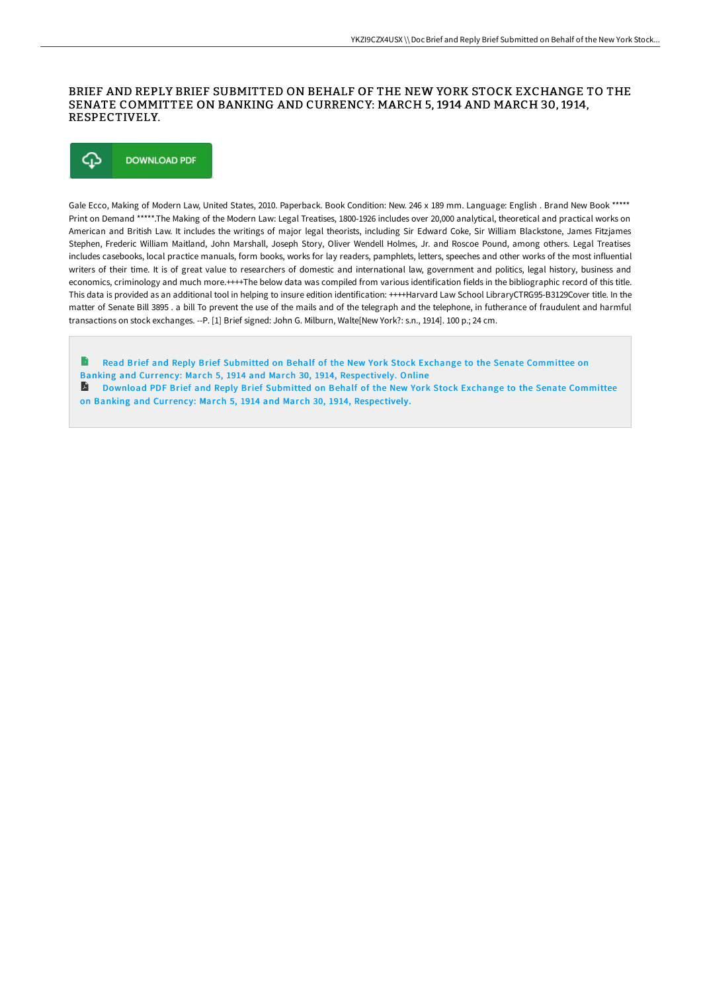## BRIEF AND REPLY BRIEF SUBMITTED ON BEHALF OF THE NEW YORK STOCK EXCHANGE TO THE SENATE COMMITTEE ON BANKING AND CURRENCY: MARCH 5, 1914 AND MARCH 30, 1914, RESPECTIVELY.



Gale Ecco, Making of Modern Law, United States, 2010. Paperback. Book Condition: New. 246 x 189 mm. Language: English . Brand New Book \*\*\*\*\* Print on Demand \*\*\*\*\*.The Making of the Modern Law: Legal Treatises, 1800-1926 includes over 20,000 analytical, theoretical and practical works on American and British Law. It includes the writings of major legal theorists, including Sir Edward Coke, Sir William Blackstone, James Fitzjames Stephen, Frederic William Maitland, John Marshall, Joseph Story, Oliver Wendell Holmes, Jr. and Roscoe Pound, among others. Legal Treatises includes casebooks, local practice manuals, form books, works for lay readers, pamphlets, letters, speeches and other works of the most influential writers of their time. It is of great value to researchers of domestic and international law, government and politics, legal history, business and economics, criminology and much more.++++The below data was compiled from various identification fields in the bibliographic record of this title. This data is provided as an additional tool in helping to insure edition identification: ++++Harvard Law School LibraryCTRG95-B3129Cover title. In the matter of Senate Bill 3895 . a bill To prevent the use of the mails and of the telegraph and the telephone, in futherance of fraudulent and harmful transactions on stock exchanges. --P. [1] Brief signed: John G. Milburn, Walte[New York?: s.n., 1914]. 100 p.; 24 cm.

B Read Brief and Reply Brief Submitted on Behalf of the New York Stock Exchange to the Senate Committee on Banking and Currency: March 5, 1914 and March 30, 1914, [Respectively.](http://techno-pub.tech/brief-and-reply-brief-submitted-on-behalf-of-the.html) Online **Download PDF Brief and Reply Brief Submitted on Behalf of the New York Stock Exchange to the Senate Committee** on Banking and Currency: March 5, 1914 and March 30, 1914, [Respectively.](http://techno-pub.tech/brief-and-reply-brief-submitted-on-behalf-of-the.html)